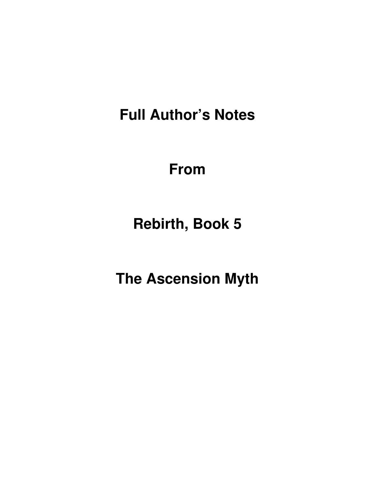**Full Author's Notes** 

**From**

**Rebirth, Book 5** 

**The Ascension Myth**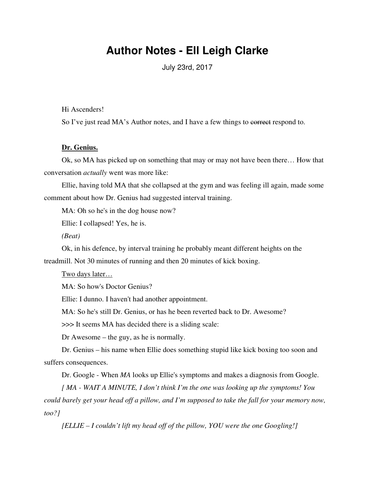# **Author Notes - Ell Leigh Clarke**

July 23rd, 2017

Hi Ascenders!

So I've just read MA's Author notes, and I have a few things to correct respond to.

#### **Dr. Genius.**

Ok, so MA has picked up on something that may or may not have been there… How that conversation *actually* went was more like:

Ellie, having told MA that she collapsed at the gym and was feeling ill again, made some comment about how Dr. Genius had suggested interval training.

MA: Oh so he's in the dog house now?

Ellie: I collapsed! Yes, he is.

*(Beat)*

Ok, in his defence, by interval training he probably meant different heights on the treadmill. Not 30 minutes of running and then 20 minutes of kick boxing.

Two days later…

MA: So how's Doctor Genius?

Ellie: I dunno. I haven't had another appointment.

MA: So he's still Dr. Genius, or has he been reverted back to Dr. Awesome?

>>> It seems MA has decided there is a sliding scale:

Dr Awesome – the guy, as he is normally.

Dr. Genius – his name when Ellie does something stupid like kick boxing too soon and suffers consequences.

Dr. Google - When *MA* looks up Ellie's symptoms and makes a diagnosis from Google.

*[ MA - WAIT A MINUTE, I don't think I'm the one was looking up the symptoms! You could barely get your head off a pillow, and I'm supposed to take the fall for your memory now, too?]*

*[ELLIE – I couldn't lift my head off of the pillow, YOU were the one Googling!]*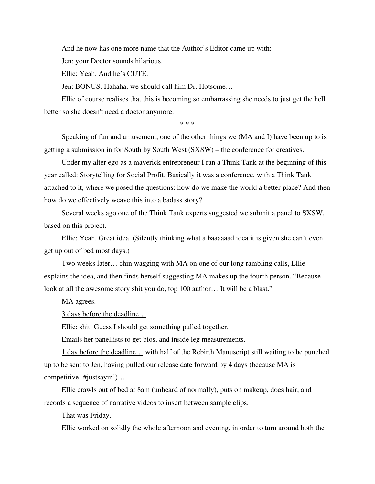And he now has one more name that the Author's Editor came up with:

Jen: your Doctor sounds hilarious.

Ellie: Yeah. And he's CUTE.

Jen: BONUS. Hahaha, we should call him Dr. Hotsome…

Ellie of course realises that this is becoming so embarrassing she needs to just get the hell better so she doesn't need a doctor anymore.

\* \* \*

Speaking of fun and amusement, one of the other things we (MA and I) have been up to is getting a submission in for South by South West (SXSW) – the conference for creatives.

Under my alter ego as a maverick entrepreneur I ran a Think Tank at the beginning of this year called: Storytelling for Social Profit. Basically it was a conference, with a Think Tank attached to it, where we posed the questions: how do we make the world a better place? And then how do we effectively weave this into a badass story?

Several weeks ago one of the Think Tank experts suggested we submit a panel to SXSW, based on this project.

Ellie: Yeah. Great idea. (Silently thinking what a baaaaaad idea it is given she can't even get up out of bed most days.)

Two weeks later… chin wagging with MA on one of our long rambling calls, Ellie explains the idea, and then finds herself suggesting MA makes up the fourth person. "Because look at all the awesome story shit you do, top 100 author... It will be a blast."

MA agrees.

3 days before the deadline…

Ellie: shit. Guess I should get something pulled together.

Emails her panellists to get bios, and inside leg measurements.

1 day before the deadline… with half of the Rebirth Manuscript still waiting to be punched up to be sent to Jen, having pulled our release date forward by 4 days (because MA is competitive! #justsayin')…

Ellie crawls out of bed at 8am (unheard of normally), puts on makeup, does hair, and records a sequence of narrative videos to insert between sample clips.

That was Friday.

Ellie worked on solidly the whole afternoon and evening, in order to turn around both the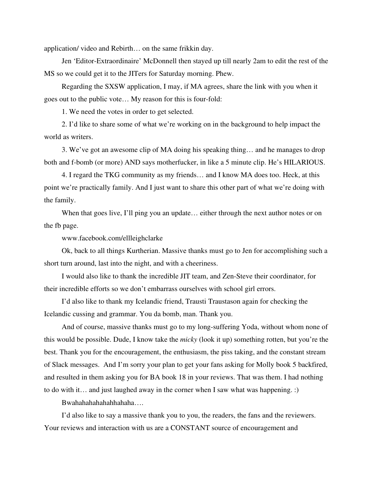application/ video and Rebirth… on the same frikkin day.

Jen 'Editor-Extraordinaire' McDonnell then stayed up till nearly 2am to edit the rest of the MS so we could get it to the JITers for Saturday morning. Phew.

Regarding the SXSW application, I may, if MA agrees, share the link with you when it goes out to the public vote… My reason for this is four-fold:

1. We need the votes in order to get selected.

2. I'd like to share some of what we're working on in the background to help impact the world as writers.

3. We've got an awesome clip of MA doing his speaking thing… and he manages to drop both and f-bomb (or more) AND says motherfucker, in like a 5 minute clip. He's HILARIOUS.

4. I regard the TKG community as my friends… and I know MA does too. Heck, at this point we're practically family. And I just want to share this other part of what we're doing with the family.

When that goes live, I'll ping you an update... either through the next author notes or on the fb page.

www.facebook.com/ellleighclarke

Ok, back to all things Kurtherian. Massive thanks must go to Jen for accomplishing such a short turn around, last into the night, and with a cheeriness.

I would also like to thank the incredible JIT team, and Zen-Steve their coordinator, for their incredible efforts so we don't embarrass ourselves with school girl errors.

I'd also like to thank my Icelandic friend, Trausti Traustason again for checking the Icelandic cussing and grammar. You da bomb, man. Thank you.

And of course, massive thanks must go to my long-suffering Yoda, without whom none of this would be possible. Dude, I know take the *micky* (look it up) something rotten, but you're the best. Thank you for the encouragement, the enthusiasm, the piss taking, and the constant stream of Slack messages. And I'm sorry your plan to get your fans asking for Molly book 5 backfired, and resulted in them asking you for BA book 18 in your reviews. That was them. I had nothing to do with it… and just laughed away in the corner when I saw what was happening. :)

Bwahahahahahahhahaha….

I'd also like to say a massive thank you to you, the readers, the fans and the reviewers. Your reviews and interaction with us are a CONSTANT source of encouragement and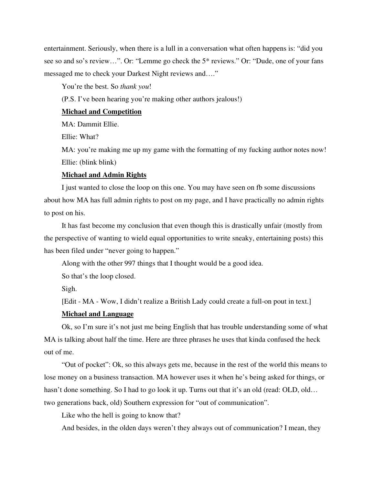entertainment. Seriously, when there is a lull in a conversation what often happens is: "did you see so and so's review…". Or: "Lemme go check the 5\* reviews." Or: "Dude, one of your fans messaged me to check your Darkest Night reviews and…."

You're the best. So *thank you*!

(P.S. I've been hearing you're making other authors jealous!)

#### **Michael and Competition**

MA: Dammit Ellie.

Ellie: What?

MA: you're making me up my game with the formatting of my fucking author notes now! Ellie: (blink blink)

## **Michael and Admin Rights**

I just wanted to close the loop on this one. You may have seen on fb some discussions about how MA has full admin rights to post on my page, and I have practically no admin rights to post on his.

It has fast become my conclusion that even though this is drastically unfair (mostly from the perspective of wanting to wield equal opportunities to write sneaky, entertaining posts) this has been filed under "never going to happen."

Along with the other 997 things that I thought would be a good idea.

So that's the loop closed.

Sigh.

[Edit - MA - Wow, I didn't realize a British Lady could create a full-on pout in text.]

## **Michael and Language**

Ok, so I'm sure it's not just me being English that has trouble understanding some of what MA is talking about half the time. Here are three phrases he uses that kinda confused the heck out of me.

"Out of pocket": Ok, so this always gets me, because in the rest of the world this means to lose money on a business transaction. MA however uses it when he's being asked for things, or hasn't done something. So I had to go look it up. Turns out that it's an old (read: OLD, old... two generations back, old) Southern expression for "out of communication".

Like who the hell is going to know that?

And besides, in the olden days weren't they always out of communication? I mean, they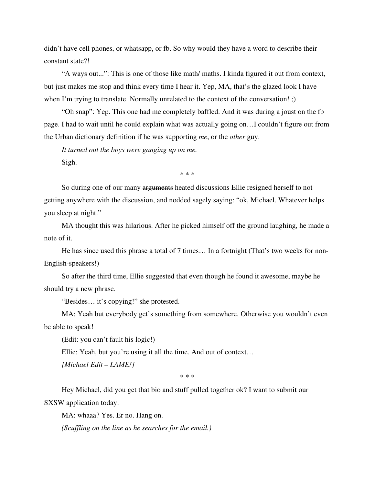didn't have cell phones, or whatsapp, or fb. So why would they have a word to describe their constant state?!

"A ways out...": This is one of those like math/ maths. I kinda figured it out from context, but just makes me stop and think every time I hear it. Yep, MA, that's the glazed look I have when I'm trying to translate. Normally unrelated to the context of the conversation! ;)

"Oh snap": Yep. This one had me completely baffled. And it was during a joust on the fb page. I had to wait until he could explain what was actually going on…I couldn't figure out from the Urban dictionary definition if he was supporting *me*, or the *other* guy.

*It turned out the boys were ganging up on me.* Sigh.

\* \* \*

So during one of our many arguments heated discussions Ellie resigned herself to not getting anywhere with the discussion, and nodded sagely saying: "ok, Michael. Whatever helps you sleep at night."

MA thought this was hilarious. After he picked himself off the ground laughing, he made a note of it.

He has since used this phrase a total of 7 times… In a fortnight (That's two weeks for non-English-speakers!)

So after the third time, Ellie suggested that even though he found it awesome, maybe he should try a new phrase.

"Besides… it's copying!" she protested.

MA: Yeah but everybody get's something from somewhere. Otherwise you wouldn't even be able to speak!

(Edit: you can't fault his logic!)

Ellie: Yeah, but you're using it all the time. And out of context…

*[Michael Edit – LAME!]*

\* \* \*

Hey Michael, did you get that bio and stuff pulled together ok? I want to submit our SXSW application today.

MA: whaaa? Yes. Er no. Hang on.

*(Scuffling on the line as he searches for the email.)*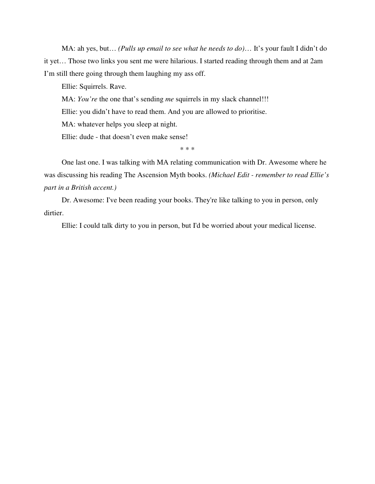MA: ah yes, but… *(Pulls up email to see what he needs to do)*… It's your fault I didn't do it yet… Those two links you sent me were hilarious. I started reading through them and at 2am I'm still there going through them laughing my ass off.

Ellie: Squirrels. Rave.

MA: *You're* the one that's sending *me* squirrels in my slack channel!!!

Ellie: you didn't have to read them. And you are allowed to prioritise.

MA: whatever helps you sleep at night.

Ellie: dude - that doesn't even make sense!

\* \* \*

One last one. I was talking with MA relating communication with Dr. Awesome where he was discussing his reading The Ascension Myth books. *(Michael Edit - remember to read Ellie's part in a British accent.)*

Dr. Awesome: I've been reading your books. They're like talking to you in person, only dirtier.

Ellie: I could talk dirty to you in person, but I'd be worried about your medical license.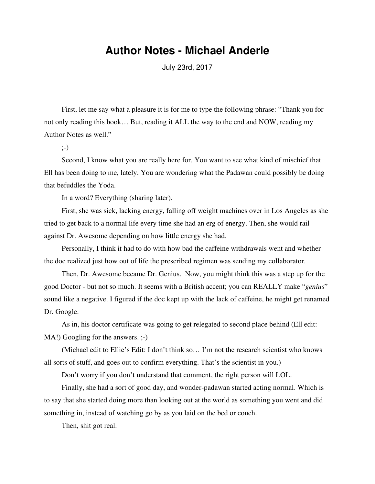## **Author Notes - Michael Anderle**

July 23rd, 2017

First, let me say what a pleasure it is for me to type the following phrase: "Thank you for not only reading this book… But, reading it ALL the way to the end and NOW, reading my Author Notes as well."

;-)

Second, I know what you are really here for. You want to see what kind of mischief that Ell has been doing to me, lately. You are wondering what the Padawan could possibly be doing that befuddles the Yoda.

In a word? Everything (sharing later).

First, she was sick, lacking energy, falling off weight machines over in Los Angeles as she tried to get back to a normal life every time she had an erg of energy. Then, she would rail against Dr. Awesome depending on how little energy she had.

Personally, I think it had to do with how bad the caffeine withdrawals went and whether the doc realized just how out of life the prescribed regimen was sending my collaborator.

Then, Dr. Awesome became Dr. Genius. Now, you might think this was a step up for the good Doctor - but not so much. It seems with a British accent; you can REALLY make "*genius*" sound like a negative. I figured if the doc kept up with the lack of caffeine, he might get renamed Dr. Google.

As in, his doctor certificate was going to get relegated to second place behind (Ell edit: MA!) Googling for the answers.  $;-)$ 

(Michael edit to Ellie's Edit: I don't think so… I'm not the research scientist who knows all sorts of stuff, and goes out to confirm everything. That's the scientist in you.)

Don't worry if you don't understand that comment, the right person will LOL.

Finally, she had a sort of good day, and wonder-padawan started acting normal. Which is to say that she started doing more than looking out at the world as something you went and did something in, instead of watching go by as you laid on the bed or couch.

Then, shit got real.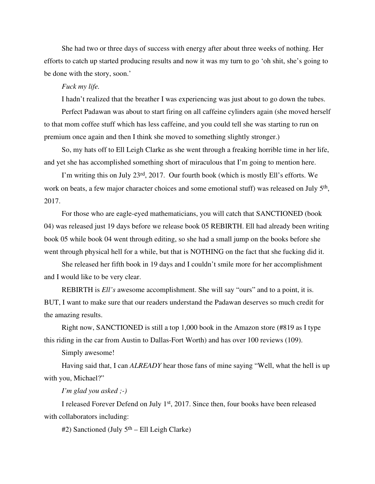She had two or three days of success with energy after about three weeks of nothing. Her efforts to catch up started producing results and now it was my turn to go 'oh shit, she's going to be done with the story, soon.'

#### *Fuck my life.*

I hadn't realized that the breather I was experiencing was just about to go down the tubes.

Perfect Padawan was about to start firing on all caffeine cylinders again (she moved herself to that mom coffee stuff which has less caffeine, and you could tell she was starting to run on premium once again and then I think she moved to something slightly stronger.)

So, my hats off to Ell Leigh Clarke as she went through a freaking horrible time in her life, and yet she has accomplished something short of miraculous that I'm going to mention here.

I'm writing this on July 23rd, 2017. Our fourth book (which is mostly Ell's efforts. We work on beats, a few major character choices and some emotional stuff) was released on July 5<sup>th</sup>, 2017.

For those who are eagle-eyed mathematicians, you will catch that SANCTIONED (book 04) was released just 19 days before we release book 05 REBIRTH. Ell had already been writing book 05 while book 04 went through editing, so she had a small jump on the books before she went through physical hell for a while, but that is NOTHING on the fact that she fucking did it.

She released her fifth book in 19 days and I couldn't smile more for her accomplishment and I would like to be very clear.

REBIRTH is *Ell's* awesome accomplishment. She will say "ours" and to a point, it is. BUT, I want to make sure that our readers understand the Padawan deserves so much credit for the amazing results.

Right now, SANCTIONED is still a top 1,000 book in the Amazon store (#819 as I type this riding in the car from Austin to Dallas-Fort Worth) and has over 100 reviews (109).

Simply awesome!

Having said that, I can *ALREADY* hear those fans of mine saying "Well, what the hell is up with you, Michael?"

*I'm glad you asked ;-)*

I released Forever Defend on July 1st, 2017. Since then, four books have been released with collaborators including:

 $#2$ ) Sanctioned (July  $5<sup>th</sup>$  – Ell Leigh Clarke)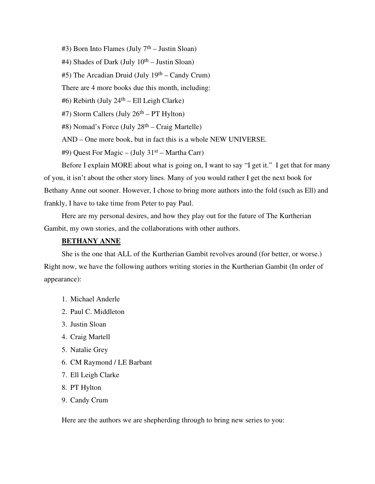$#3$ ) Born Into Flames (July  $7<sup>th</sup>$  – Justin Sloan)

 $#4$ ) Shades of Dark (July  $10<sup>th</sup> -$  Justin Sloan)

 $#5$ ) The Arcadian Druid (July 19<sup>th</sup> – Candy Crum)

There are 4 more books due this month, including:

 $#6$ ) Rebirth (July 24<sup>th</sup> – Ell Leigh Clarke)

#7) Storm Callers (July 26th – PT Hylton)

#8) Nomad's Force (July 28th – Craig Martelle)

AND – One more book, but in fact this is a whole NEW UNIVERSE.

#9) Quest For Magic – (July 31st – Martha Carr)

Before I explain MORE about what is going on, I want to say "I get it." I get that for many of you, it isn't about the other story lines. Many of you would rather I get the next book for Bethany Anne out sooner. However, I chose to bring more authors into the fold (such as Ell) and frankly, I have to take time from Peter to pay Paul.

Here are my personal desires, and how they play out for the future of The Kurtherian Gambit, my own stories, and the collaborations with other authors.

#### **BETHANY ANNE**

She is the one that ALL of the Kurtherian Gambit revolves around (for better, or worse.) Right now, we have the following authors writing stories in the Kurtherian Gambit (In order of appearance):

- 1. Michael Anderle
- 2. Paul C. Middleton
- 3. Justin Sloan
- 4. Craig Martell
- 5. Natalie Grey
- 6. CM Raymond / LE Barbant
- 7. Ell Leigh Clarke
- 8. PT Hylton
- 9. Candy Crum

Here are the authors we are shepherding through to bring new series to you: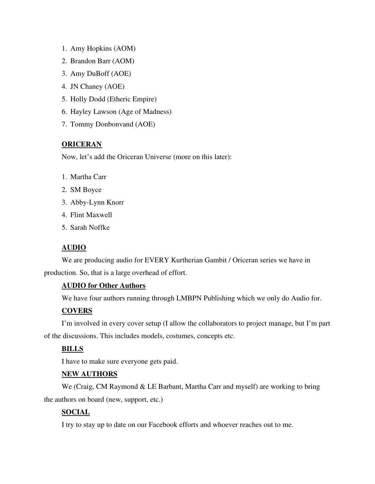- 1. Amy Hopkins (AOM)
- 2. Brandon Barr (AOM)
- 3. Amy DuBoff (AOE)
- 4. JN Chaney (AOE)
- 5. Holly Dodd (Etheric Empire)
- 6. Hayley Lawson (Age of Madness)
- 7. Tommy Donbonvand (AOE)

## **ORICERAN**

Now, let's add the Oriceran Universe (more on this later):

- 1. Martha Carr
- 2. SM Boyce
- 3. Abby-Lynn Knorr
- 4. Flint Maxwell
- 5. Sarah Noffke

## **AUDIO**

We are producing audio for EVERY Kurtherian Gambit / Oriceran series we have in production. So, that is a large overhead of effort.

## **AUDIO for Other Authors**

We have four authors running through LMBPN Publishing which we only do Audio for.

## **COVERS**

I'm involved in every cover setup (I allow the collaborators to project manage, but I'm part of the discussions. This includes models, costumes, concepts etc.

## **BILLS**

I have to make sure everyone gets paid.

## **NEW AUTHORS**

We (Craig, CM Raymond & LE Barbant, Martha Carr and myself) are working to bring the authors on board (new, support, etc.)

## **SOCIAL**

I try to stay up to date on our Facebook efforts and whoever reaches out to me.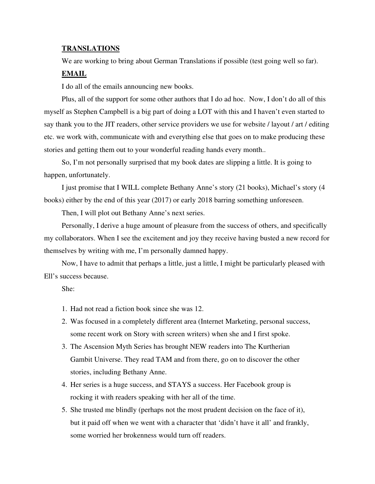#### **TRANSLATIONS**

We are working to bring about German Translations if possible (test going well so far).

#### **EMAIL**

I do all of the emails announcing new books.

Plus, all of the support for some other authors that I do ad hoc. Now, I don't do all of this myself as Stephen Campbell is a big part of doing a LOT with this and I haven't even started to say thank you to the JIT readers, other service providers we use for website / layout / art / editing etc. we work with, communicate with and everything else that goes on to make producing these stories and getting them out to your wonderful reading hands every month..

So, I'm not personally surprised that my book dates are slipping a little. It is going to happen, unfortunately.

I just promise that I WILL complete Bethany Anne's story (21 books), Michael's story (4 books) either by the end of this year (2017) or early 2018 barring something unforeseen.

Then, I will plot out Bethany Anne's next series.

Personally, I derive a huge amount of pleasure from the success of others, and specifically my collaborators. When I see the excitement and joy they receive having busted a new record for themselves by writing with me, I'm personally damned happy.

Now, I have to admit that perhaps a little, just a little, I might be particularly pleased with Ell's success because.

She:

- 1. Had not read a fiction book since she was 12.
- 2. Was focused in a completely different area (Internet Marketing, personal success, some recent work on Story with screen writers) when she and I first spoke.
- 3. The Ascension Myth Series has brought NEW readers into The Kurtherian Gambit Universe. They read TAM and from there, go on to discover the other stories, including Bethany Anne.
- 4. Her series is a huge success, and STAYS a success. Her Facebook group is rocking it with readers speaking with her all of the time.
- 5. She trusted me blindly (perhaps not the most prudent decision on the face of it), but it paid off when we went with a character that 'didn't have it all' and frankly, some worried her brokenness would turn off readers.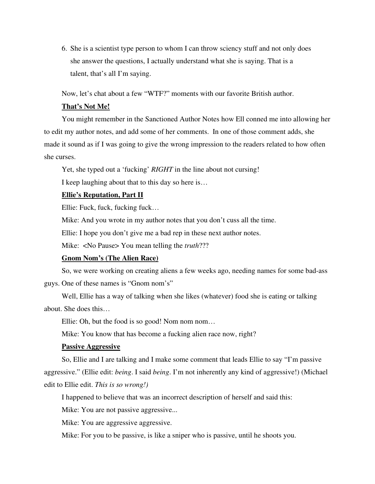6. She is a scientist type person to whom I can throw sciency stuff and not only does she answer the questions, I actually understand what she is saying. That is a talent, that's all I'm saying.

Now, let's chat about a few "WTF?" moments with our favorite British author.

#### **That's Not Me!**

You might remember in the Sanctioned Author Notes how Ell conned me into allowing her to edit my author notes, and add some of her comments. In one of those comment adds, she made it sound as if I was going to give the wrong impression to the readers related to how often she curses.

Yet, she typed out a 'fucking' *RIGHT* in the line about not cursing!

I keep laughing about that to this day so here is…

#### **Ellie's Reputation, Part II**

Ellie: Fuck, fuck, fucking fuck…

Mike: And you wrote in my author notes that you don't cuss all the time.

Ellie: I hope you don't give me a bad rep in these next author notes.

Mike: <No Pause> You mean telling the *truth*???

#### **Gnom Nom's (The Alien Race)**

So, we were working on creating aliens a few weeks ago, needing names for some bad-ass

guys. One of these names is "Gnom nom's"

Well, Ellie has a way of talking when she likes (whatever) food she is eating or talking about. She does this…

Ellie: Oh, but the food is so good! Nom nom nom...

Mike: You know that has become a fucking alien race now, right?

#### **Passive Aggressive**

So, Ellie and I are talking and I make some comment that leads Ellie to say "I'm passive aggressive." (Ellie edit: *being*. I said *being*. I'm not inherently any kind of aggressive!) (Michael edit to Ellie edit. *This is so wrong!)*

I happened to believe that was an incorrect description of herself and said this:

Mike: You are not passive aggressive...

Mike: You are aggressive aggressive.

Mike: For you to be passive, is like a sniper who is passive, until he shoots you.